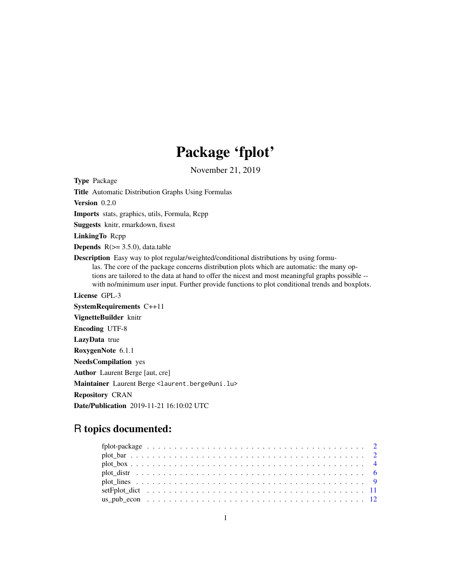# Package 'fplot'

November 21, 2019

<span id="page-0-0"></span>Type Package Title Automatic Distribution Graphs Using Formulas Version 0.2.0 Imports stats, graphics, utils, Formula, Rcpp Suggests knitr, rmarkdown, fixest LinkingTo Rcpp **Depends**  $R$ ( $>=$  3.5.0), data.table Description Easy way to plot regular/weighted/conditional distributions by using formulas. The core of the package concerns distribution plots which are automatic: the many options are tailored to the data at hand to offer the nicest and most meaningful graphs possible - with no/minimum user input. Further provide functions to plot conditional trends and boxplots. License GPL-3 SystemRequirements C++11 VignetteBuilder knitr Encoding UTF-8 LazyData true RoxygenNote 6.1.1 NeedsCompilation yes Author Laurent Berge [aut, cre] Maintainer Laurent Berge <laurent.berge@uni.lu> Repository CRAN Date/Publication 2019-11-21 16:10:02 UTC

# R topics documented:

| $plot_{\text{.}}box \dots \dots \dots \dots \dots \dots \dots \dots \dots \dots \dots \dots \dots \dots \dots \dots \dots$ |
|----------------------------------------------------------------------------------------------------------------------------|
|                                                                                                                            |
|                                                                                                                            |
|                                                                                                                            |
|                                                                                                                            |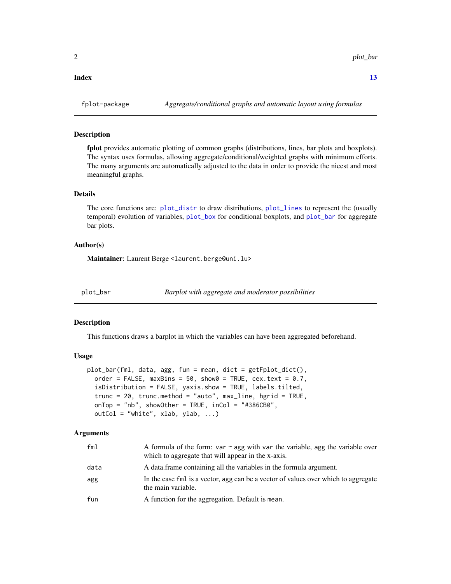#### <span id="page-1-0"></span>**Index** [13](#page-12-0)

#### Description

fplot provides automatic plotting of common graphs (distributions, lines, bar plots and boxplots). The syntax uses formulas, allowing aggregate/conditional/weighted graphs with minimum efforts. The many arguments are automatically adjusted to the data in order to provide the nicest and most meaningful graphs.

#### Details

The core functions are: [plot\\_distr](#page-5-1) to draw distributions, [plot\\_lines](#page-8-1) to represent the (usually temporal) evolution of variables, [plot\\_box](#page-3-1) for conditional boxplots, and [plot\\_bar](#page-1-1) for aggregate bar plots.

#### Author(s)

Maintainer: Laurent Berge <laurent.berge@uni.lu>

<span id="page-1-1"></span>plot\_bar *Barplot with aggregate and moderator possibilities*

#### Description

This functions draws a barplot in which the variables can have been aggregated beforehand.

#### Usage

```
plot_bar(fml, data, agg, fun = mean, dict = getFplot_dict(),
 order = FALSE, maxBins = 50, show0 = TRUE, cex.text = 0.7,
  isDistribution = FALSE, yaxis.show = TRUE, labels.tilted,
  trunc = 20, trunc.method = "auto", max_line, hgrid = TRUE,
  onTop = "nb", showOther = TRUE, inCol = "#386CB0",outCol = "white", xlab, ylab, ...)
```
#### Arguments

| fm1  | A formula of the form: var $\sim$ agg with var the variable, agg the variable over<br>which to aggregate that will appear in the x-axis. |
|------|------------------------------------------------------------------------------------------------------------------------------------------|
| data | A data frame containing all the variables in the formula argument.                                                                       |
| agg  | In the case fml is a vector, agg can be a vector of values over which to aggregate<br>the main variable.                                 |
| fun  | A function for the aggregation. Default is mean.                                                                                         |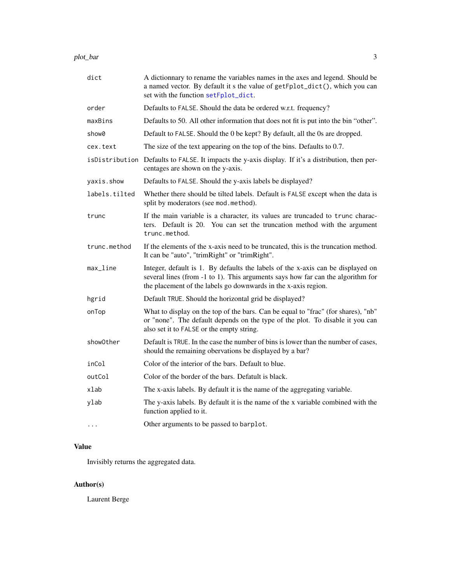<span id="page-2-0"></span>

| dict          | A dictionnary to rename the variables names in the axes and legend. Should be<br>a named vector. By default it s the value of getFplot_dict(), which you can<br>set with the function setFplot_dict.                                 |
|---------------|--------------------------------------------------------------------------------------------------------------------------------------------------------------------------------------------------------------------------------------|
| order         | Defaults to FALSE. Should the data be ordered w.r.t. frequency?                                                                                                                                                                      |
| maxBins       | Defaults to 50. All other information that does not fit is put into the bin "other".                                                                                                                                                 |
| show0         | Default to FALSE. Should the 0 be kept? By default, all the 0s are dropped.                                                                                                                                                          |
| cex.text      | The size of the text appearing on the top of the bins. Defaults to 0.7.                                                                                                                                                              |
|               | isDistribution Defaults to FALSE. It impacts the y-axis display. If it's a distribution, then per-<br>centages are shown on the y-axis.                                                                                              |
| yaxis.show    | Defaults to FALSE. Should the y-axis labels be displayed?                                                                                                                                                                            |
| labels.tilted | Whether there should be tilted labels. Default is FALSE except when the data is<br>split by moderators (see mod.method).                                                                                                             |
| trunc         | If the main variable is a character, its values are truncaded to trunc charac-<br>ters. Default is 20. You can set the truncation method with the argument<br>trunc.method.                                                          |
| trunc.method  | If the elements of the x-axis need to be truncated, this is the truncation method.<br>It can be "auto", "trimRight" or "trimRight".                                                                                                  |
| max_line      | Integer, default is 1. By defaults the labels of the x-axis can be displayed on<br>several lines (from -1 to 1). This arguments says how far can the algorithm for<br>the placement of the labels go downwards in the x-axis region. |
| hgrid         | Default TRUE. Should the horizontal grid be displayed?                                                                                                                                                                               |
| onTop         | What to display on the top of the bars. Can be equal to "frac" (for shares), "nb"<br>or "none". The default depends on the type of the plot. To disable it you can<br>also set it to FALSE or the empty string.                      |
| show0ther     | Default is TRUE. In the case the number of bins is lower than the number of cases,<br>should the remaining obervations be displayed by a bar?                                                                                        |
| inCol         | Color of the interior of the bars. Default to blue.                                                                                                                                                                                  |
| outCol        | Color of the border of the bars. Defatult is black.                                                                                                                                                                                  |
| xlab          | The x-axis labels. By default it is the name of the aggregating variable.                                                                                                                                                            |
| ylab          | The y-axis labels. By default it is the name of the x variable combined with the<br>function applied to it.                                                                                                                          |
| $\cdots$      | Other arguments to be passed to barplot.                                                                                                                                                                                             |

# Value

Invisibly returns the aggregated data.

# Author(s)

Laurent Berge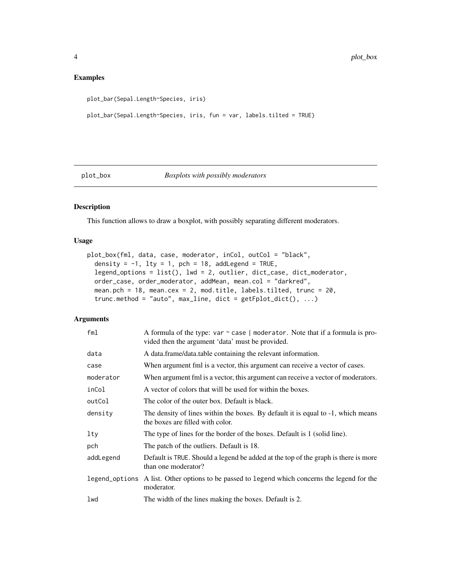#### <span id="page-3-0"></span>Examples

```
plot_bar(Sepal.Length~Species, iris)
```
plot\_bar(Sepal.Length~Species, iris, fun = var, labels.tilted = TRUE)

#### <span id="page-3-1"></span>plot\_box *Boxplots with possibly moderators*

### Description

This function allows to draw a boxplot, with possibly separating different moderators.

### Usage

```
plot_box(fml, data, case, moderator, inCol, outCol = "black",
  density = -1, lty = 1, pch = 18, addLegend = TRUE,
  legend_options = list(), lwd = 2, outlier, dict_case, dict_moderator,
 order_case, order_moderator, addMean, mean.col = "darkred",
 mean.pch = 18, mean.cex = 2, mod.title, labels.tilted, trunc = 20,
  trunc.method = "auto", max_line, dict = getFplot_dict(), ...)
```
#### Arguments

| fm1            | A formula of the type: var $\sim$ case   moderator. Note that if a formula is pro-<br>vided then the argument 'data' must be provided. |
|----------------|----------------------------------------------------------------------------------------------------------------------------------------|
| data           | A data.frame/data.table containing the relevant information.                                                                           |
| case           | When argument fml is a vector, this argument can receive a vector of cases.                                                            |
| moderator      | When argument fml is a vector, this argument can receive a vector of moderators.                                                       |
| inCol          | A vector of colors that will be used for within the boxes.                                                                             |
| outCol         | The color of the outer box. Default is black.                                                                                          |
| density        | The density of lines within the boxes. By default it is equal to -1, which means<br>the boxes are filled with color.                   |
| lty            | The type of lines for the border of the boxes. Default is 1 (solid line).                                                              |
| pch            | The patch of the outliers. Default is 18.                                                                                              |
| addLegend      | Default is TRUE. Should a legend be added at the top of the graph is there is more<br>than one moderator?                              |
| legend_options | A list. Other options to be passed to legend which concerns the legend for the<br>moderator.                                           |
| lwd            | The width of the lines making the boxes. Default is 2.                                                                                 |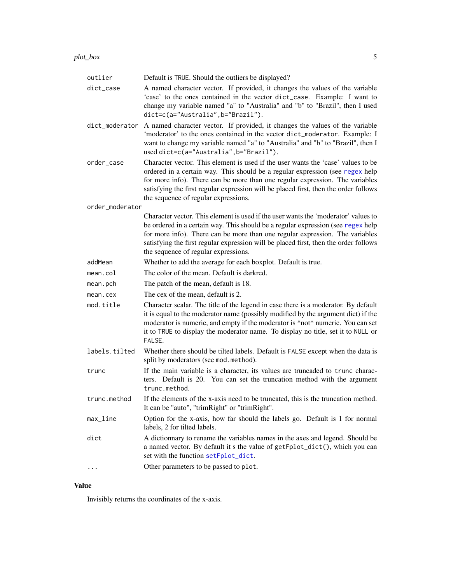<span id="page-4-0"></span>

| outlier         | Default is TRUE. Should the outliers be displayed?                                                                                                                                                                                                                                                                                                                                     |
|-----------------|----------------------------------------------------------------------------------------------------------------------------------------------------------------------------------------------------------------------------------------------------------------------------------------------------------------------------------------------------------------------------------------|
| dict_case       | A named character vector. If provided, it changes the values of the variable<br>'case' to the ones contained in the vector dict_case. Example: I want to<br>change my variable named "a" to "Australia" and "b" to "Brazil", then I used<br>dict=c(a="Australia",b="Brazil").                                                                                                          |
| dict_moderator  | A named character vector. If provided, it changes the values of the variable<br>'moderator' to the ones contained in the vector dict_moderator. Example: I<br>want to change my variable named "a" to "Australia" and "b" to "Brazil", then I<br>used dict=c(a="Australia", b="Brazil").                                                                                               |
| order_case      | Character vector. This element is used if the user wants the 'case' values to be<br>ordered in a certain way. This should be a regular expression (see regex help<br>for more info). There can be more than one regular expression. The variables<br>satisfying the first regular expression will be placed first, then the order follows<br>the sequence of regular expressions.      |
| order_moderator |                                                                                                                                                                                                                                                                                                                                                                                        |
|                 | Character vector. This element is used if the user wants the 'moderator' values to<br>be ordered in a certain way. This should be a regular expression (see regex help<br>for more info). There can be more than one regular expression. The variables<br>satisfying the first regular expression will be placed first, then the order follows<br>the sequence of regular expressions. |
| addMean         | Whether to add the average for each boxplot. Default is true.                                                                                                                                                                                                                                                                                                                          |
| mean.col        | The color of the mean. Default is darkred.                                                                                                                                                                                                                                                                                                                                             |
| mean.pch        | The patch of the mean, default is 18.                                                                                                                                                                                                                                                                                                                                                  |
| mean.cex        | The cex of the mean, default is 2.                                                                                                                                                                                                                                                                                                                                                     |
| mod.title       | Character scalar. The title of the legend in case there is a moderator. By default<br>it is equal to the moderator name (possibly modified by the argument dict) if the<br>moderator is numeric, and empty if the moderator is *not* numeric. You can set<br>it to TRUE to display the moderator name. To display no title, set it to NULL or<br>FALSE.                                |
| labels.tilted   | Whether there should be tilted labels. Default is FALSE except when the data is<br>split by moderators (see mod.method).                                                                                                                                                                                                                                                               |
| trunc           | If the main variable is a character, its values are truncaded to trunc charac-<br>ters. Default is 20. You can set the truncation method with the argument<br>trunc.method.                                                                                                                                                                                                            |
| trunc.method    | If the elements of the x-axis need to be truncated, this is the truncation method.<br>It can be "auto", "trimRight" or "trimRight".                                                                                                                                                                                                                                                    |
| max_line        | Option for the x-axis, how far should the labels go. Default is 1 for normal<br>labels, 2 for tilted labels.                                                                                                                                                                                                                                                                           |
| dict            | A dictionnary to rename the variables names in the axes and legend. Should be<br>a named vector. By default it s the value of getFplot_dict(), which you can<br>set with the function setFplot_dict.                                                                                                                                                                                   |
|                 | Other parameters to be passed to plot.                                                                                                                                                                                                                                                                                                                                                 |

## Value

Invisibly returns the coordinates of the x-axis.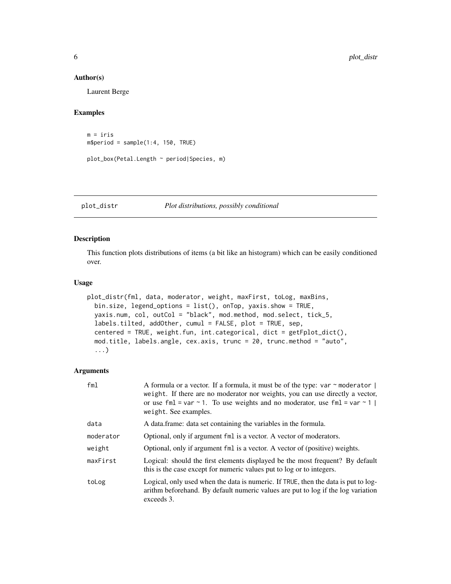#### <span id="page-5-0"></span>Author(s)

Laurent Berge

#### Examples

```
m = iris
m$period = sample(1:4, 150, TRUE)
plot_box(Petal.Length ~ period|Species, m)
```
#### <span id="page-5-1"></span>plot\_distr *Plot distributions, possibly conditional*

### Description

This function plots distributions of items (a bit like an histogram) which can be easily conditioned over.

#### Usage

```
plot_distr(fml, data, moderator, weight, maxFirst, toLog, maxBins,
 bin.size, legend_options = list(), onTop, yaxis.show = TRUE,
 yaxis.num, col, outCol = "black", mod.method, mod.select, tick_5,
  labels.tilted, addOther, cumul = FALSE, plot = TRUE, sep,
  centered = TRUE, weight.fun, int.categorical, dict = getFplot_dict(),
 mod.title, labels.angle, cex.axis, trunc = 20, trunc.method = "auto",
  ...)
```
#### Arguments

| fml       | A formula or a vector. If a formula, it must be of the type: $var \sim$ moderator  <br>weight. If there are no moderator nor weights, you can use directly a vector,<br>or use fml = var $\sim$ 1. To use weights and no moderator, use fml = var $\sim$ 1  <br>weight. See examples. |
|-----------|---------------------------------------------------------------------------------------------------------------------------------------------------------------------------------------------------------------------------------------------------------------------------------------|
| data      | A data frame: data set containing the variables in the formula.                                                                                                                                                                                                                       |
| moderator | Optional, only if argument fml is a vector. A vector of moderators.                                                                                                                                                                                                                   |
| weight    | Optional, only if argument fml is a vector. A vector of (positive) weights.                                                                                                                                                                                                           |
| maxFirst  | Logical: should the first elements displayed be the most frequent? By default<br>this is the case except for numeric values put to log or to integers.                                                                                                                                |
| toLog     | Logical, only used when the data is numeric. If TRUE, then the data is put to log-<br>arithm beforehand. By default numeric values are put to log if the log variation<br>exceeds 3.                                                                                                  |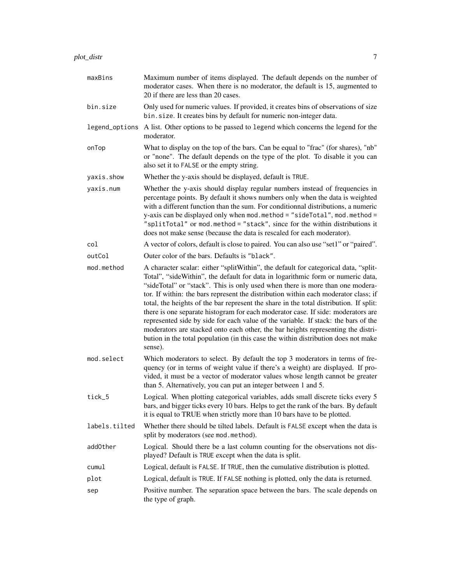| maxBins        | Maximum number of items displayed. The default depends on the number of<br>moderator cases. When there is no moderator, the default is 15, augmented to<br>20 if there are less than 20 cases.                                                                                                                                                                                                                                                                                                                                                                                                                                                                                                                                                                                                          |
|----------------|---------------------------------------------------------------------------------------------------------------------------------------------------------------------------------------------------------------------------------------------------------------------------------------------------------------------------------------------------------------------------------------------------------------------------------------------------------------------------------------------------------------------------------------------------------------------------------------------------------------------------------------------------------------------------------------------------------------------------------------------------------------------------------------------------------|
| bin.size       | Only used for numeric values. If provided, it creates bins of observations of size<br>bin.size. It creates bins by default for numeric non-integer data.                                                                                                                                                                                                                                                                                                                                                                                                                                                                                                                                                                                                                                                |
| legend_options | A list. Other options to be passed to legend which concerns the legend for the<br>moderator.                                                                                                                                                                                                                                                                                                                                                                                                                                                                                                                                                                                                                                                                                                            |
| onTop          | What to display on the top of the bars. Can be equal to "frac" (for shares), "nb"<br>or "none". The default depends on the type of the plot. To disable it you can<br>also set it to FALSE or the empty string.                                                                                                                                                                                                                                                                                                                                                                                                                                                                                                                                                                                         |
| yaxis.show     | Whether the y-axis should be displayed, default is TRUE.                                                                                                                                                                                                                                                                                                                                                                                                                                                                                                                                                                                                                                                                                                                                                |
| yaxis.num      | Whether the y-axis should display regular numbers instead of frequencies in<br>percentage points. By default it shows numbers only when the data is weighted<br>with a different function than the sum. For conditionnal distributions, a numeric<br>y-axis can be displayed only when mod.method = "sideTotal", mod.method =<br>"splitTotal" or mod.method = "stack", since for the within distributions it<br>does not make sense (because the data is rescaled for each moderator).                                                                                                                                                                                                                                                                                                                  |
| col            | A vector of colors, default is close to paired. You can also use "set1" or "paired".                                                                                                                                                                                                                                                                                                                                                                                                                                                                                                                                                                                                                                                                                                                    |
| outCol         | Outer color of the bars. Defaults is "black".                                                                                                                                                                                                                                                                                                                                                                                                                                                                                                                                                                                                                                                                                                                                                           |
| mod.method     | A character scalar: either "splitWithin", the default for categorical data, "split-<br>Total", "sideWithin", the default for data in logarithmic form or numeric data,<br>"sideTotal" or "stack". This is only used when there is more than one modera-<br>tor. If within: the bars represent the distribution within each moderator class; if<br>total, the heights of the bar represent the share in the total distribution. If split:<br>there is one separate histogram for each moderator case. If side: moderators are<br>represented side by side for each value of the variable. If stack: the bars of the<br>moderators are stacked onto each other, the bar heights representing the distri-<br>bution in the total population (in this case the within distribution does not make<br>sense). |
| mod.select     | Which moderators to select. By default the top 3 moderators in terms of fre-<br>quency (or in terms of weight value if there's a weight) are displayed. If pro-<br>vided, it must be a vector of moderator values whose length cannot be greater<br>than 5. Alternatively, you can put an integer between 1 and 5.                                                                                                                                                                                                                                                                                                                                                                                                                                                                                      |
| tick_5         | Logical. When plotting categorical variables, adds small discrete ticks every 5<br>bars, and bigger ticks every 10 bars. Helps to get the rank of the bars. By default<br>it is equal to TRUE when strictly more than 10 bars have to be plotted.                                                                                                                                                                                                                                                                                                                                                                                                                                                                                                                                                       |
| labels.tilted  | Whether there should be tilted labels. Default is FALSE except when the data is<br>split by moderators (see mod.method).                                                                                                                                                                                                                                                                                                                                                                                                                                                                                                                                                                                                                                                                                |
| add0ther       | Logical. Should there be a last column counting for the observations not dis-<br>played? Default is TRUE except when the data is split.                                                                                                                                                                                                                                                                                                                                                                                                                                                                                                                                                                                                                                                                 |
| cumul          | Logical, default is FALSE. If TRUE, then the cumulative distribution is plotted.                                                                                                                                                                                                                                                                                                                                                                                                                                                                                                                                                                                                                                                                                                                        |
| plot           | Logical, default is TRUE. If FALSE nothing is plotted, only the data is returned.                                                                                                                                                                                                                                                                                                                                                                                                                                                                                                                                                                                                                                                                                                                       |
| sep            | Positive number. The separation space between the bars. The scale depends on<br>the type of graph.                                                                                                                                                                                                                                                                                                                                                                                                                                                                                                                                                                                                                                                                                                      |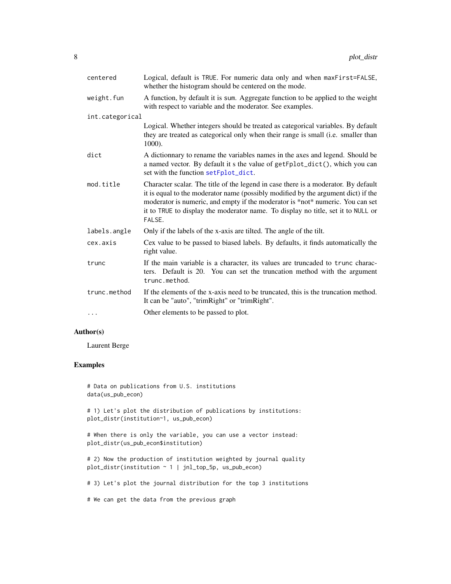<span id="page-7-0"></span>

| centered        | Logical, default is TRUE. For numeric data only and when maxFirst=FALSE,<br>whether the histogram should be centered on the mode.                                                                                                                                                                                                                       |
|-----------------|---------------------------------------------------------------------------------------------------------------------------------------------------------------------------------------------------------------------------------------------------------------------------------------------------------------------------------------------------------|
| weight.fun      | A function, by default it is sum. Aggregate function to be applied to the weight<br>with respect to variable and the moderator. See examples.                                                                                                                                                                                                           |
| int.categorical |                                                                                                                                                                                                                                                                                                                                                         |
|                 | Logical. Whether integers should be treated as categorical variables. By default<br>they are treated as categorical only when their range is small (i.e. smaller than<br>1000).                                                                                                                                                                         |
| dict            | A dictionnary to rename the variables names in the axes and legend. Should be<br>a named vector. By default it s the value of getFplot_dict(), which you can<br>set with the function setFplot_dict.                                                                                                                                                    |
| mod.title       | Character scalar. The title of the legend in case there is a moderator. By default<br>it is equal to the moderator name (possibly modified by the argument dict) if the<br>moderator is numeric, and empty if the moderator is *not* numeric. You can set<br>it to TRUE to display the moderator name. To display no title, set it to NULL or<br>FALSE. |
| labels.angle    | Only if the labels of the x-axis are tilted. The angle of the tilt.                                                                                                                                                                                                                                                                                     |
| cex.axis        | Cex value to be passed to biased labels. By defaults, it finds automatically the<br>right value.                                                                                                                                                                                                                                                        |
| trunc           | If the main variable is a character, its values are truncaded to trunc charac-<br>ters. Default is 20. You can set the truncation method with the argument<br>trunc.method.                                                                                                                                                                             |
| trunc.method    | If the elements of the x-axis need to be truncated, this is the truncation method.<br>It can be "auto", "trimRight" or "trimRight".                                                                                                                                                                                                                     |
| .               | Other elements to be passed to plot.                                                                                                                                                                                                                                                                                                                    |

### Author(s)

Laurent Berge

## Examples

# Data on publications from U.S. institutions data(us\_pub\_econ)

# 1) Let's plot the distribution of publications by institutions: plot\_distr(institution~1, us\_pub\_econ)

# When there is only the variable, you can use a vector instead: plot\_distr(us\_pub\_econ\$institution)

# 2) Now the production of institution weighted by journal quality plot\_distr(institution ~ 1 | jnl\_top\_5p, us\_pub\_econ)

# 3) Let's plot the journal distribution for the top 3 institutions

# We can get the data from the previous graph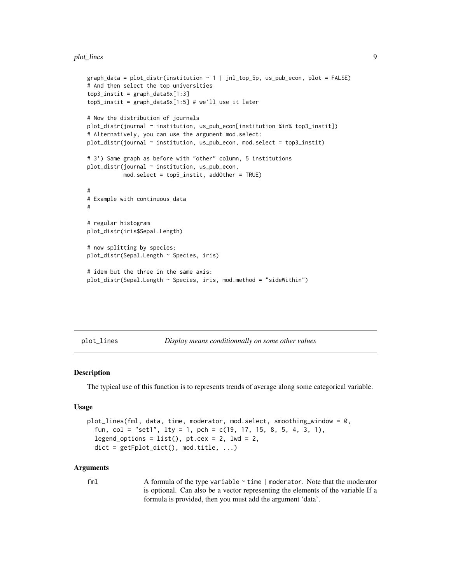#### <span id="page-8-0"></span>plot\_lines 9

```
graph_data = plot\_distr(institution \sim 1 \mid jn1\_top_5p, us\_pub\_econ, plot = FALSE)# And then select the top universities
top3_instit = graph_data$x[1:3]
top5_instit = graph_data$x[1:5] # we'll use it later
# Now the distribution of journals
plot_distr(journal ~ institution, us_pub_econ[institution %in% top3_instit])
# Alternatively, you can use the argument mod.select:
plot_distr(journal ~ institution, us_pub_econ, mod.select = top3_instit)
# 3') Same graph as before with "other" column, 5 institutions
plot_distr(journal ~ institution, us_pub_econ,
           mod.select = top5_instit, addOther = TRUE)
#
# Example with continuous data
#
# regular histogram
plot_distr(iris$Sepal.Length)
# now splitting by species:
plot_distr(Sepal.Length ~ Species, iris)
# idem but the three in the same axis:
plot_distr(Sepal.Length ~ Species, iris, mod.method = "sideWithin")
```
<span id="page-8-1"></span>plot\_lines *Display means conditionnally on some other values*

#### Description

The typical use of this function is to represents trends of average along some categorical variable.

#### Usage

```
plot_lines(fml, data, time, moderator, mod.select, smoothing_window = 0,
  fun, col = "set1", lty = 1, pch = c(19, 17, 15, 8, 5, 4, 3, 1),
  legend_options = list(), pt.cex = 2, lwd = 2,
  dict = getFplot_dict(), mod.title, ...)
```
#### Arguments

fml  $A$  formula of the type variable  $\sim$  time | moderator. Note that the moderator is optional. Can also be a vector representing the elements of the variable If a formula is provided, then you must add the argument 'data'.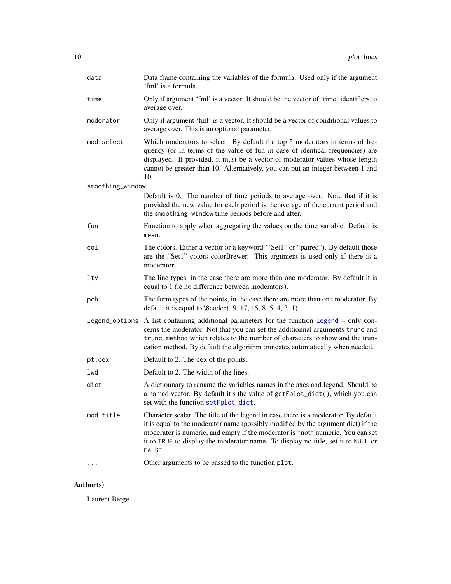<span id="page-9-0"></span>

| Data frame containing the variables of the formula. Used only if the argument<br>'fml' is a formula.                                                                                                                                                                                                                                                    |
|---------------------------------------------------------------------------------------------------------------------------------------------------------------------------------------------------------------------------------------------------------------------------------------------------------------------------------------------------------|
| Only if argument 'fml' is a vector. It should be the vector of 'time' identifiers to<br>average over.                                                                                                                                                                                                                                                   |
| Only if argument 'fml' is a vector. It should be a vector of conditional values to<br>average over. This is an optional parameter.                                                                                                                                                                                                                      |
| Which moderators to select. By default the top 5 moderators in terms of fre-<br>quency (or in terms of the value of fun in case of identical frequencies) are<br>displayed. If provided, it must be a vector of moderator values whose length<br>cannot be greater than 10. Alternatively, you can put an integer between 1 and<br>10.                  |
| smoothing_window                                                                                                                                                                                                                                                                                                                                        |
| Default is 0. The number of time periods to average over. Note that if it is<br>provided the new value for each period is the average of the current period and<br>the smoothing_window time periods before and after.                                                                                                                                  |
| Function to apply when aggregating the values on the time variable. Default is<br>mean.                                                                                                                                                                                                                                                                 |
| The colors. Either a vector or a keyword ("Set1" or "paired"). By default those<br>are the "Set1" colors colorBrewer. This argument is used only if there is a<br>moderator.                                                                                                                                                                            |
| The line types, in the case there are more than one moderator. By default it is<br>equal to 1 (ie no difference between moderators).                                                                                                                                                                                                                    |
| The form types of the points, in the case there are more than one moderator. By<br>default it is equal to $\text{8codec}(19, 17, 15, 8, 5, 4, 3, 1)$ .                                                                                                                                                                                                  |
| legend_options A list containing additional parameters for the function legend – only con-<br>cerns the moderator. Not that you can set the additionnal arguments trunc and<br>trunc.method which relates to the number of characters to show and the trun-<br>cation method. By default the algorithm truncates automatically when needed.             |
|                                                                                                                                                                                                                                                                                                                                                         |
| Default to 2. The cex of the points.                                                                                                                                                                                                                                                                                                                    |
| Default to 2. The width of the lines.                                                                                                                                                                                                                                                                                                                   |
| A dictionnary to rename the variables names in the axes and legend. Should be<br>a named vector. By default it s the value of getFplot_dict(), which you can<br>set with the function setFplot_dict.                                                                                                                                                    |
| Character scalar. The title of the legend in case there is a moderator. By default<br>it is equal to the moderator name (possibly modified by the argument dict) if the<br>moderator is numeric, and empty if the moderator is *not* numeric. You can set<br>it to TRUE to display the moderator name. To display no title, set it to NULL or<br>FALSE. |
|                                                                                                                                                                                                                                                                                                                                                         |

# Author(s)

Laurent Berge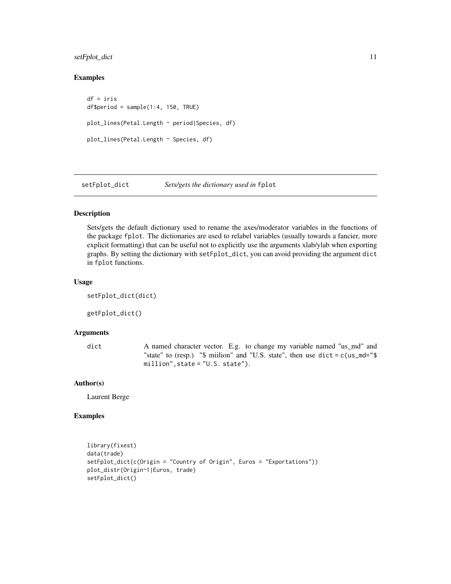### <span id="page-10-0"></span>setFplot\_dict 11

#### Examples

```
df = iris
df$period = sample(1:4, 150, TRUE)plot_lines(Petal.Length ~ period|Species, df)
plot_lines(Petal.Length ~ Species, df)
```
<span id="page-10-1"></span>setFplot\_dict *Sets/gets the dictionary used in* fplot

#### Description

Sets/gets the default dictionary used to rename the axes/moderator variables in the functions of the package fplot. The dictionaries are used to relabel variables (usually towards a fancier, more explicit formatting) that can be useful not to explicitly use the arguments xlab/ylab when exporting graphs. By setting the dictionary with setFplot\_dict, you can avoid providing the argument dict in fplot functions.

#### Usage

```
setFplot_dict(dict)
```
getFplot\_dict()

#### Arguments

dict A named character vector. E.g. to change my variable named "us\_md" and "state" to (resp.) "\$ miilion" and "U.S. state", then use dict = c(us\_md="\$ million",state = "U.S. state").

#### Author(s)

Laurent Berge

#### Examples

```
library(fixest)
data(trade)
setFplot_dict(c(Origin = "Country of Origin", Euros = "Exportations"))
plot_distr(Origin~1|Euros, trade)
setFplot_dict()
```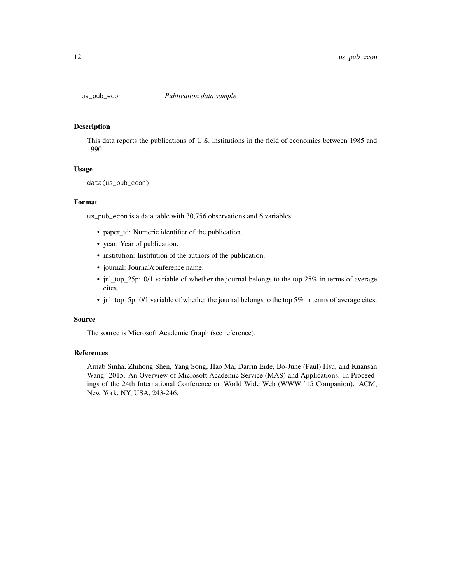<span id="page-11-0"></span>

#### Description

This data reports the publications of U.S. institutions in the field of economics between 1985 and 1990.

#### Usage

data(us\_pub\_econ)

#### Format

us\_pub\_econ is a data table with 30,756 observations and 6 variables.

- paper\_id: Numeric identifier of the publication.
- year: Year of publication.
- institution: Institution of the authors of the publication.
- journal: Journal/conference name.
- jnl\_top\_25p: 0/1 variable of whether the journal belongs to the top 25% in terms of average cites.
- jnl\_top\_5p: 0/1 variable of whether the journal belongs to the top 5% in terms of average cites.

#### Source

The source is Microsoft Academic Graph (see reference).

#### References

Arnab Sinha, Zhihong Shen, Yang Song, Hao Ma, Darrin Eide, Bo-June (Paul) Hsu, and Kuansan Wang. 2015. An Overview of Microsoft Academic Service (MAS) and Applications. In Proceedings of the 24th International Conference on World Wide Web (WWW '15 Companion). ACM, New York, NY, USA, 243-246.